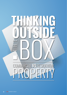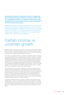**Commercial property in Australia is worth a staggering \$0.70 trillion (CoreLogic RP Data, December 2015). There are compelling reasons for investors to look beyond the residential home and broaden their investment portfolio to include commercial property.** 

*Residential property dominates the news and is a favourite topic of choice for Australians. Skyrocketing prices, social concerns regarding affordability, speculation of a looming bust, the twelfth series of "The Block"… you would be forgiven for thinking that the only type of property is "residential", but its better looking, stable cousin might be worth considering.* 

### Certain income vs uncertain growth

Whilst both types of property are founded on "bricks and mortar", the similarities largely end there. Commercial property is first and foremost considered a high yield, low growth investment. Residential property on the other hand is generally considered a low yielding and higher growth investment.

One of the most attractive features of residential investment property investing is the tax benefits gained due to negative gearing. However, the logic surrounding deliberately making a loss on your day-to-day cash flows in order to achieve a tax advantage is debatable. Investors should also be cognisant of the potential regulatory/policy risks concerning the future sustainability of negative gearing. Aside from the tax advantage, negative gearing increases an investor's reliance on the speculative capital gain component of the total return. This can be a risky strategy. The heavy reliance that residential property investors place on capital gain raises an interesting "income versus capital" debate.

Commercial property is an income investment, known for its higher yields and steadier long term capital growth. These high yields (which comprise the main component of the total return) are usually backed by commercial rent agreements which are generally locked in for multiple years. Most commercial leases have locked in rent reviews (generally meaning that the rent cannot drop) directly linked to CPI, fixed rates or market based reviews. These inbuilt reviews mean the relative benefit of property is even more pronounced in a period of elevated inflation and often referred to as "inflation proofing".

Conversely, residential property is generally considered a high growth and low yielding asset. "Punting" on potential growth returns from property is a strategy that has been proven over many years to be fraught with danger. The low initial yield that Australian residential property investors accept presumes an inversely high level of capital growth. Buy at the wrong time and your likely gain is even riskier.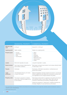|  | 西西<br>目 |
|--|---------|
|  | B       |
|  | ٩ñ      |
|  |         |
|  |         |
|  |         |

|                         | RESIDENTIAL PROPERTY                                                                                                                | <b>COMMERCIAL PROPERTY</b>                                                                                                                                                                                                                                                                                         |
|-------------------------|-------------------------------------------------------------------------------------------------------------------------------------|--------------------------------------------------------------------------------------------------------------------------------------------------------------------------------------------------------------------------------------------------------------------------------------------------------------------|
| Effective cash<br>vield | 2-4% pa <sup>1</sup>                                                                                                                | Around 5.5 - 8.5% pa <sup>2</sup>                                                                                                                                                                                                                                                                                  |
| Capital growth          | Highly variable.                                                                                                                    | Steady, low capital growth.                                                                                                                                                                                                                                                                                        |
| <b>Property types</b>   | $\blacktriangleright$ Houses<br>$\blacktriangleright$ Apartments<br>$\blacktriangleright$ Flats<br>$\blacktriangleright$ Townhouses | $\blacktriangleright$ Office<br>$\blacktriangleright$ Retail<br>$\blacktriangleright$ Industrial<br>$\blacktriangleright$ Healthcare<br>$\blacktriangleright$ Retirement living<br>$\blacktriangleright$ Leisure parks<br>$\blacktriangleright$ Hotels                                                             |
| Leases                  | Short term (typically one year).                                                                                                    | Long term (typically $5+$ years).                                                                                                                                                                                                                                                                                  |
| <b>Rental reviews</b>   | Upon lease renewal, determined by<br>local market conditions.                                                                       | Most lease contracts have locked in rent reviews directly linked<br>to fixed rates or CPI.                                                                                                                                                                                                                         |
| <b>Tenants</b>          | Individuals                                                                                                                         | Businesses, ASX listed corporations, multinationals and<br>government bodies.                                                                                                                                                                                                                                      |
| Legal<br>protection     | The Residential Tenancy Act tends<br>to favour the tenant.                                                                          | Balanced legislation between landlord and tenant. Commercial<br>tenancy agreements are dealt with as business contracts and<br>are negotiated at arm's length between the parties.                                                                                                                                 |
| <b>Property costs</b>   | The tenant is required to maintain<br>good order. Costs are largely borne<br>by the landlord.                                       | Most leases will provide for outgoings to be paid by the tenant<br>and typically include: council rates, water rates, land tax,<br>insurance, strata levies and property management fees.<br>Tenants are required to "make good" conditions factored into<br>the lease. Majority of costs are borne by the tenant. |

1 Core Logic RP Data Home Value Index. Effective cash yield takes into account deductions such as: agents fees, advertising, repairs and maintenance, vacancy on renewals, insurance, cleaning/damage.

2 APN forecasts February 2016.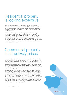# Residential property is looking expensive

Australian residential property is currently looking expensive with national market price levels having increased approximately 32% since bottoming in May 2012 (HIA, November 2015). Whilst we do not subscribe to the view that says residential property prices will fall, we caution that a protracted period of low growth could ensue.

Our view has been supported most recently by the behaviour of multiple market indicators which suggest a moderation in capital values from this sector. Residential price growth has historically been led by various indicators, the most predictive of which have generally included sales volumes, building approvals, auction clearance rates and mortgage rates. A recent analysis of the aforementioned indicators suggests the rate of residential price growth nationally is more than likely to slow from current levels to a rate of between 0-5% (Citi Research, November 2015).

# Commercial property is attractively priced

In contrast to the residential market, our valuation analysis confirms that AREITs are not overvalued and are in fact attractively priced. A key metric utilised in our AREIT valuation process includes analysis of a trust's Net Asset Value (NAV). This methodology essentially involves a mark-to-market assessment of the trust's net assets having consideration to the most recent drivers of value for the vehicle's physical real estate assets and associated intangibles. Our assessment of NAVs across the AREIT sector suggests the market is currently trading at a discount of around 5.2%<sup>3</sup>, suggesting material upside potential.

The historically low interest rate environment continues to support the stable high yield nature of AREITs and the sector's relative popularity with investors as the search for risk-adjusted yield continues. Low interest rates are a key driver of investor preparedness to bid up the market. Private clients who invest directly in the market compare the yield they can achieve in fixed interest investments (2.5%-3.0%) with the yield in AREITs (most currently yielding in the range of 5.5%- 8.5%). Institutional investors often utilise the 10 year bond as the risk free rate in the discounted cash flow valuation process. With the bond trading within the historically low band of 2.5-3.0% throughout 2015, it is little wonder that many valuations support the sector's current pricing.

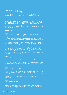# **Accessing** commercial property

In reality, very few investors have the financial capacity or specialist knowledge needed to acquire multi-million dollar property assets. Nor do most investors have the expertise or time required to intensely manage the property – such as completing capital improvements, rent review negotiations, tenant relations, repairs and maintenance, accounting, legal compliance and ultimately execute a disposal. All property assets need to be continuously and actively managed in order to maximise rental income and value.

### **Why AREITs?**



### Dedicated management and expertise

Managed by teams of dedicated professional investment managers who are highly skilled at managing property and property related investments, AREITs and property securities funds allow investors to purchase an interest in a diversified and professionally managed portfolio of real estate. Investors have comfort from the knowledge that their investment is being managed by full-time property specialists whose sole job is to maximise the return on your investment (both in terms of rental income and capital appreciation).

Residential investment property owners often engage the services of a real estate agent to assist with the buying/selling and management of residential property, however, considerable commitment and time is required to successfully manage a property – dwellings flood, walls and foundations crack and there's no guarantee that tenants will reliably pay rent or treat the property with respect. These issues are ultimately the owner's responsibility.

#### **Liquidity** 2

REITs or liquid property securities funds offer the benefit of liquidity and the ability to increase an investment even in very small parcels (typically the minimum additional investment size or regular investment plans are \$500-\$1,000). By comparison, you can't sell a bedroom in a residential investment property, nor can you purchase a kitchen. An investment in residential property is lumpy. It's all or nothing.



The risk of "putting all your eggs in one basket" by buying a single asset is significant. The concentration risk that exists with a single residential investment (one asset, one tenant, one location) compares unfavourably with the diversification benefits of a well-managed real estate securities fund. Multiple REITs holding numerous assets, in varied locations, each with a multitude of tenants obviously offers far superior diversification.



The income security due to the quality of commercial property tenants provides additional comfort for landlords (and investors). Tenants of REITs are normally very strong businesses, supporting their ability to pay the rent and often include ASX 100 listed companies, multinational corporations and Government bodies.